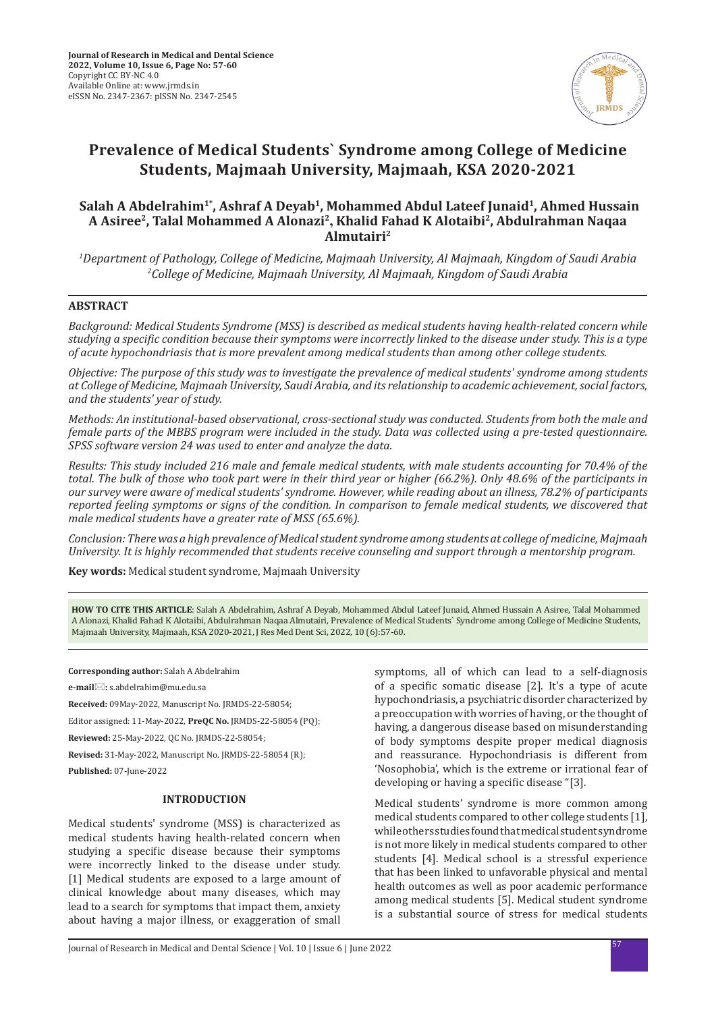

# **Prevalence of Medical Students` Syndrome among College of Medicine Students, Majmaah University, Majmaah, KSA 2020-2021**

## Salah A Abdelrahim<sup>1\*</sup>, Ashraf A Deyab<sup>1</sup>, Mohammed Abdul Lateef Junaid<sup>1</sup>, Ahmed Hussain **A Asiree2, Talal Mohammed A Alonazi2, Khalid Fahad K Alotaibi2, Abdulrahman Naqaa Almutairi2**

*1 Department of Pathology, College of Medicine, Majmaah University, Al Majmaah, Kingdom of Saudi Arabia 2 College of Medicine, Majmaah University, Al Majmaah, Kingdom of Saudi Arabia*

## **ABSTRACT**

*Background: Medical Students Syndrome (MSS) is described as medical students having health-related concern while studying a specific condition because their symptoms were incorrectly linked to the disease under study. This is a type of acute hypochondriasis that is more prevalent among medical students than among other college students.* 

*Objective: The purpose of this study was to investigate the prevalence of medical students' syndrome among students at College of Medicine, Majmaah University, Saudi Arabia, and its relationship to academic achievement, social factors, and the students' year of study.* 

*Methods: An institutional-based observational, cross-sectional study was conducted. Students from both the male and female parts of the MBBS program were included in the study. Data was collected using a pre-tested questionnaire. SPSS software version 24 was used to enter and analyze the data.* 

*Results: This study included 216 male and female medical students, with male students accounting for 70.4% of the total. The bulk of those who took part were in their third year or higher (66.2%). Only 48.6% of the participants in our survey were aware of medical students' syndrome. However, while reading about an illness, 78.2% of participants reported feeling symptoms or signs of the condition. In comparison to female medical students, we discovered that male medical students have a greater rate of MSS (65.6%).* 

*Conclusion: There was a high prevalence of Medical student syndrome among students at college of medicine, Majmaah University. It is highly recommended that students receive counseling and support through a mentorship program.*

**Key words:** Medical student syndrome, Majmaah University

**HOW TO CITE THIS ARTICLE**: Salah A Abdelrahim, Ashraf A Deyab, Mohammed Abdul Lateef Junaid, Ahmed Hussain A Asiree, Talal Mohammed A Alonazi, Khalid Fahad K Alotaibi, Abdulrahman Naqaa Almutairi, Prevalence of Medical Students` Syndrome among College of Medicine Students, Majmaah University, Majmaah, KSA 2020-2021, J Res Med Dent Sci, 2022, 10 (6):57-60.

**Corresponding author:** Salah A Abdelrahim

**e-mail:** s.abdelrahim@mu.edu.sa

**Received:** 09May-2022, Manuscript No. JRMDS-22-58054;

Editor assigned: 11-May-2022, **PreQC No.** JRMDS-22-58054 (PQ);

**Reviewed:** 25-May-2022, QC No. JRMDS-22-58054;

**Revised:** 31-May-2022, Manuscript No. JRMDS-22-58054 (R); **Published:** 07-June-2022

## **INTRODUCTION**

Medical students' syndrome (MSS) is characterized as medical students having health-related concern when studying a specific disease because their symptoms were incorrectly linked to the disease under study. [1] Medical students are exposed to a large amount of clinical knowledge about many diseases, which may lead to a search for symptoms that impact them, anxiety about having a major illness, or exaggeration of small symptoms, all of which can lead to a self-diagnosis of a specific somatic disease [2]. It's a type of acute hypochondriasis, a psychiatric disorder characterized by a preoccupation with worries of having, or the thought of having, a dangerous disease based on misunderstanding of body symptoms despite proper medical diagnosis and reassurance. Hypochondriasis is different from 'Nosophobia', which is the extreme or irrational fear of developing or having a specific disease "[3].

Medical students' syndrome is more common among medical students compared to other college students [1], while others studies found that medical student syndrome is not more likely in medical students compared to other students [4]. Medical school is a stressful experience that has been linked to unfavorable physical and mental health outcomes as well as poor academic performance among medical students [5]. Medical student syndrome is a substantial source of stress for medical students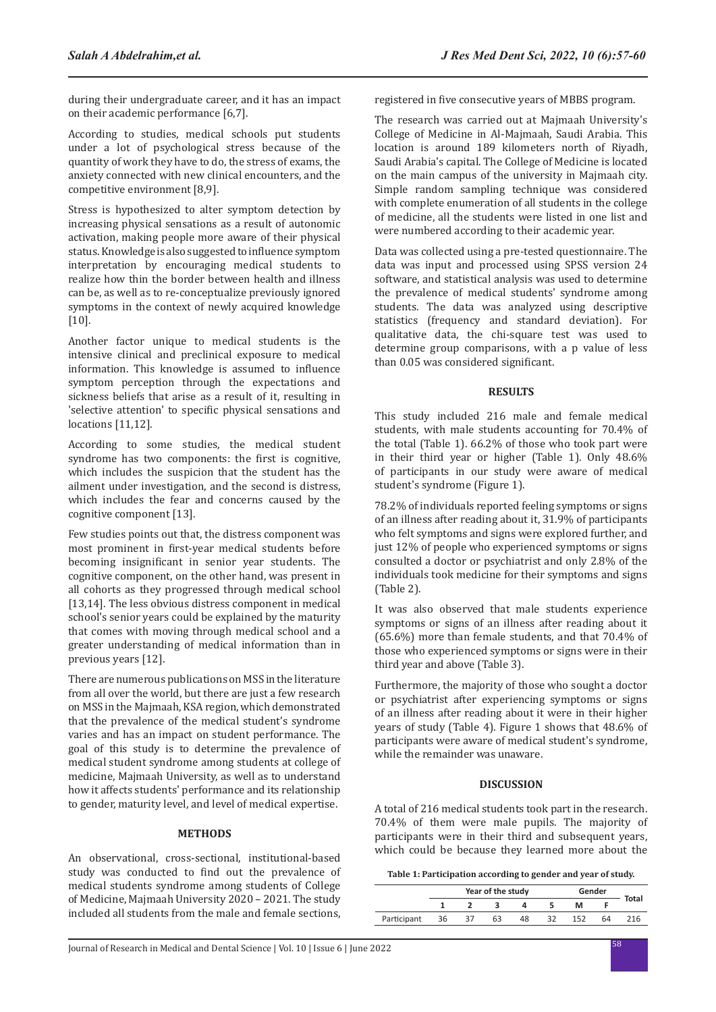during their undergraduate career, and it has an impact on their academic performance [6,7].

According to studies, medical schools put students under a lot of psychological stress because of the quantity of work they have to do, the stress of exams, the anxiety connected with new clinical encounters, and the competitive environment [8,9].

Stress is hypothesized to alter symptom detection by increasing physical sensations as a result of autonomic activation, making people more aware of their physical status. Knowledge is also suggested to influence symptom interpretation by encouraging medical students to realize how thin the border between health and illness can be, as well as to re-conceptualize previously ignored symptoms in the context of newly acquired knowledge [10].

Another factor unique to medical students is the intensive clinical and preclinical exposure to medical information. This knowledge is assumed to influence symptom perception through the expectations and sickness beliefs that arise as a result of it, resulting in 'selective attention' to specific physical sensations and locations [11,12].

According to some studies, the medical student syndrome has two components: the first is cognitive, which includes the suspicion that the student has the ailment under investigation, and the second is distress, which includes the fear and concerns caused by the cognitive component [13].

Few studies points out that, the distress component was most prominent in first-year medical students before becoming insignificant in senior year students. The cognitive component, on the other hand, was present in all cohorts as they progressed through medical school [13,14]. The less obvious distress component in medical school's senior years could be explained by the maturity that comes with moving through medical school and a greater understanding of medical information than in previous years [12].

There are numerous publications on MSS in the literature from all over the world, but there are just a few research on MSS in the Majmaah, KSA region, which demonstrated that the prevalence of the medical student's syndrome varies and has an impact on student performance. The goal of this study is to determine the prevalence of medical student syndrome among students at college of medicine, Majmaah University, as well as to understand how it affects students' performance and its relationship to gender, maturity level, and level of medical expertise.

#### **METHODS**

An observational, cross-sectional, institutional-based study was conducted to find out the prevalence of medical students syndrome among students of College of Medicine, Majmaah University 2020 – 2021. The study included all students from the male and female sections, registered in five consecutive years of MBBS program.

The research was carried out at Majmaah University's College of Medicine in Al-Majmaah, Saudi Arabia. This location is around 189 kilometers north of Riyadh, Saudi Arabia's capital. The College of Medicine is located on the main campus of the university in Majmaah city. Simple random sampling technique was considered with complete enumeration of all students in the college of medicine, all the students were listed in one list and were numbered according to their academic year.

Data was collected using a pre-tested questionnaire. The data was input and processed using SPSS version 24 software, and statistical analysis was used to determine the prevalence of medical students' syndrome among students. The data was analyzed using descriptive statistics (frequency and standard deviation). For qualitative data, the chi-square test was used to determine group comparisons, with a p value of less than 0.05 was considered significant.

#### **RESULTS**

This study included 216 male and female medical students, with male students accounting for 70.4% of the total (Table 1). 66.2% of those who took part were in their third year or higher (Table 1). Only 48.6% of participants in our study were aware of medical student's syndrome (Figure 1).

78.2% of individuals reported feeling symptoms or signs of an illness after reading about it, 31.9% of participants who felt symptoms and signs were explored further, and just 12% of people who experienced symptoms or signs consulted a doctor or psychiatrist and only 2.8% of the individuals took medicine for their symptoms and signs (Table 2).

It was also observed that male students experience symptoms or signs of an illness after reading about it (65.6%) more than female students, and that 70.4% of those who experienced symptoms or signs were in their third year and above (Table 3).

Furthermore, the majority of those who sought a doctor or psychiatrist after experiencing symptoms or signs of an illness after reading about it were in their higher years of study (Table 4). Figure 1 shows that 48.6% of participants were aware of medical student's syndrome, while the remainder was unaware.

## **DISCUSSION**

A total of 216 medical students took part in the research. 70.4% of them were male pupils. The majority of participants were in their third and subsequent years, which could be because they learned more about the

| Table 1: Participation according to gender and year of study. |  |
|---------------------------------------------------------------|--|
|---------------------------------------------------------------|--|

|             | Year of the study |  |    |    |  | Gender |    |       |
|-------------|-------------------|--|----|----|--|--------|----|-------|
|             |                   |  |    |    |  | м      |    | Total |
| Participant | 36                |  | 63 | 48 |  |        | 54 | 16    |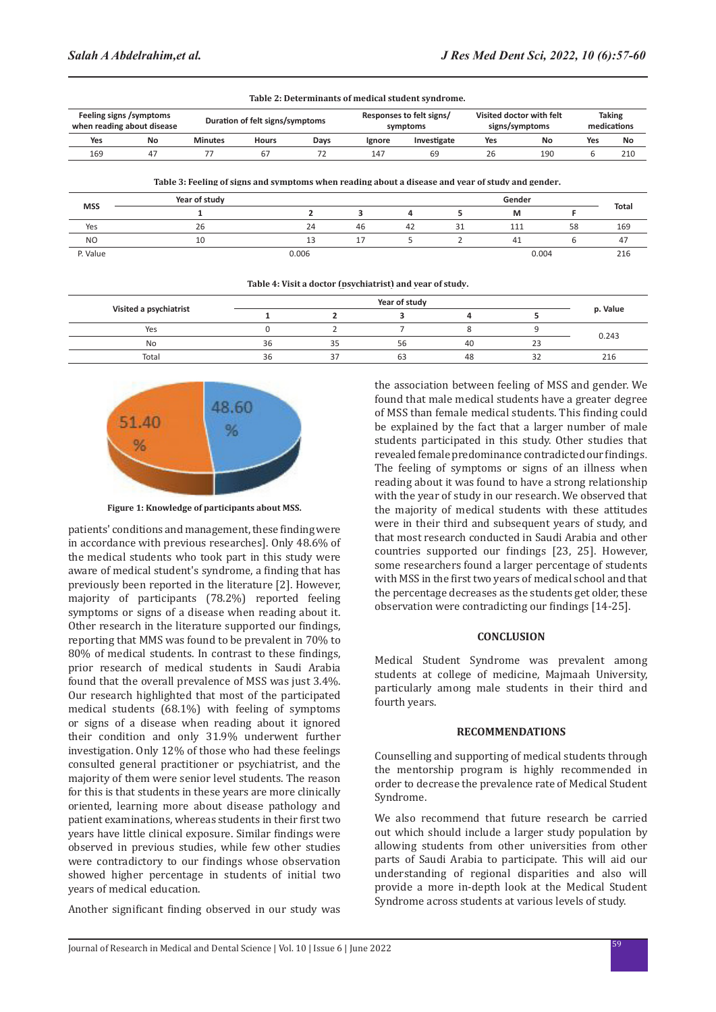|                                                       |    |                                 |              |      | Table 2. Determinants of ineurcal student syndrome. |                                      |    |       |                                            |     |                       |  |
|-------------------------------------------------------|----|---------------------------------|--------------|------|-----------------------------------------------------|--------------------------------------|----|-------|--------------------------------------------|-----|-----------------------|--|
| Feeling signs /symptoms<br>when reading about disease |    | Duration of felt signs/symptoms |              |      |                                                     | Responses to felt signs/<br>symptoms |    |       | Visited doctor with felt<br>signs/symptoms |     | Taking<br>medications |  |
| Yes                                                   | No | <b>Minutes</b>                  | <b>Hours</b> | Days | Ignore                                              | Investigate                          |    | Yes   | No                                         | Yes | No                    |  |
| 169                                                   | 47 | 77                              | 67           | 72   | 147                                                 | 69                                   |    | 26    | 190                                        | 6   | 210                   |  |
| <b>MSS</b>                                            |    | Year of study                   |              |      |                                                     |                                      |    |       | Gender                                     |     |                       |  |
|                                                       |    |                                 |              |      | 3                                                   | 4                                    | 5  | м     |                                            |     | <b>Total</b>          |  |
| Yes                                                   |    | 26                              |              | 24   | 46                                                  | 42                                   | 31 | 111   |                                            | 58  | 169                   |  |
| N <sub>O</sub>                                        |    | 10                              |              | 13   | 17                                                  | 5                                    |    | 41    |                                            | 6   | 47                    |  |
| P. Value                                              |    | 0.006                           |              |      |                                                     |                                      |    | 0.004 |                                            |     | 216                   |  |

|    |    |           |               |    | p. Value |  |
|----|----|-----------|---------------|----|----------|--|
|    |    |           |               |    | 0.243    |  |
| 36 | 35 | $-$<br>56 | 40            | 23 |          |  |
| 36 | 37 | 63        | 48            | 32 | 216      |  |
|    |    |           | Year of study |    |          |  |



**Figure 1: Knowledge of participants about MSS.**

patients' conditions and management, these finding were in accordance with previous researches]. Only 48.6% of the medical students who took part in this study were aware of medical student's syndrome, a finding that has previously been reported in the literature [2]. However, majority of participants (78.2%) reported feeling symptoms or signs of a disease when reading about it. Other research in the literature supported our findings, reporting that MMS was found to be prevalent in 70% to 80% of medical students. In contrast to these findings, prior research of medical students in Saudi Arabia found that the overall prevalence of MSS was just 3.4%. Our research highlighted that most of the participated medical students (68.1%) with feeling of symptoms or signs of a disease when reading about it ignored their condition and only 31.9% underwent further investigation. Only 12% of those who had these feelings consulted general practitioner or psychiatrist, and the majority of them were senior level students. The reason for this is that students in these years are more clinically oriented, learning more about disease pathology and patient examinations, whereas students in their first two years have little clinical exposure. Similar findings were observed in previous studies, while few other studies were contradictory to our findings whose observation showed higher percentage in students of initial two years of medical education.

Another significant finding observed in our study was

the association between feeling of MSS and gender. We found that male medical students have a greater degree of MSS than female medical students. This finding could be explained by the fact that a larger number of male students participated in this study. Other studies that revealed female predominance contradicted our findings. The feeling of symptoms or signs of an illness when reading about it was found to have a strong relationship with the year of study in our research. We observed that the majority of medical students with these attitudes were in their third and subsequent years of study, and that most research conducted in Saudi Arabia and other countries supported our findings [23, 25]. However, some researchers found a larger percentage of students with MSS in the first two years of medical school and that the percentage decreases as the students get older, these observation were contradicting our findings [14-25].

#### **CONCLUSION**

Medical Student Syndrome was prevalent among students at college of medicine, Majmaah University, particularly among male students in their third and fourth years.

#### **RECOMMENDATIONS**

Counselling and supporting of medical students through the mentorship program is highly recommended in order to decrease the prevalence rate of Medical Student Syndrome.

We also recommend that future research be carried out which should include a larger study population by allowing students from other universities from other parts of Saudi Arabia to participate. This will aid our understanding of regional disparities and also will provide a more in-depth look at the Medical Student Syndrome across students at various levels of study.